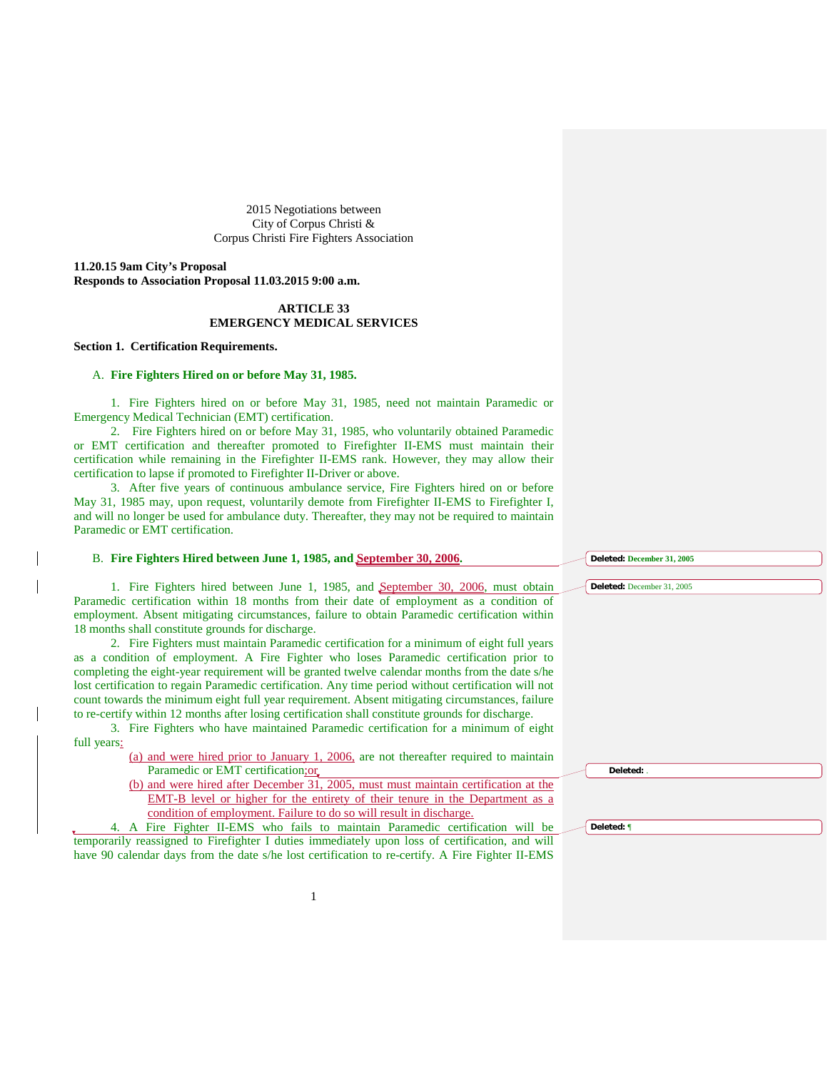2015 Negotiations between City of Corpus Christi & Corpus Christi Fire Fighters Association

**11.20.15 9am City's Proposal Responds to Association Proposal 11.03.2015 9:00 a.m.**

# **ARTICLE 33 EMERGENCY MEDICAL SERVICES**

# **Section 1. Certification Requirements.**

### A. **Fire Fighters Hired on or before May 31, 1985.**

1. Fire Fighters hired on or before May 31, 1985, need not maintain Paramedic or Emergency Medical Technician (EMT) certification.

2. Fire Fighters hired on or before May 31, 1985, who voluntarily obtained Paramedic or EMT certification and thereafter promoted to Firefighter II-EMS must maintain their certification while remaining in the Firefighter II-EMS rank. However, they may allow their certification to lapse if promoted to Firefighter II-Driver or above.

3. After five years of continuous ambulance service, Fire Fighters hired on or before May 31, 1985 may, upon request, voluntarily demote from Firefighter II-EMS to Firefighter I, and will no longer be used for ambulance duty. Thereafter, they may not be required to maintain Paramedic or EMT certification.

| B. Fire Fighters Hired between June 1, 1985, and September 30, 2006.                                 | Deleted: December 31, 2005 |
|------------------------------------------------------------------------------------------------------|----------------------------|
|                                                                                                      |                            |
| 1. Fire Fighters hired between June 1, 1985, and September 30, 2006, must obtain                     | Deleted: December 31, 2005 |
| Paramedic certification within 18 months from their date of employment as a condition of             |                            |
| employment. Absent mitigating circumstances, failure to obtain Paramedic certification within        |                            |
| 18 months shall constitute grounds for discharge.                                                    |                            |
| 2. Fire Fighters must maintain Paramedic certification for a minimum of eight full years             |                            |
| as a condition of employment. A Fire Fighter who loses Paramedic certification prior to              |                            |
| completing the eight-year requirement will be granted twelve calendar months from the date s/he      |                            |
| lost certification to regain Paramedic certification. Any time period without certification will not |                            |
| count towards the minimum eight full year requirement. Absent mitigating circumstances, failure      |                            |
| to re-certify within 12 months after losing certification shall constitute grounds for discharge.    |                            |
| 3. Fire Fighters who have maintained Paramedic certification for a minimum of eight                  |                            |
| full years:                                                                                          |                            |
| (a) and were hired prior to January 1, 2006, are not thereafter required to maintain                 |                            |
| Paramedic or EMT certification; or                                                                   | Deleted: .                 |
| (b) and were hired after December 31, 2005, must must maintain certification at the                  |                            |
| EMT-B level or higher for the entirety of their tenure in the Department as a                        |                            |
| condition of employment. Failure to do so will result in discharge.                                  |                            |
| 4. A Fire Fighter II-EMS who fails to maintain Paramedic certification will be                       | Deleted: ¶                 |
| temporarily reassigned to Firefighter I duties immediately upon loss of certification, and will      |                            |
| have 90 calendar days from the date s/he lost certification to re-certify. A Fire Fighter II-EMS     |                            |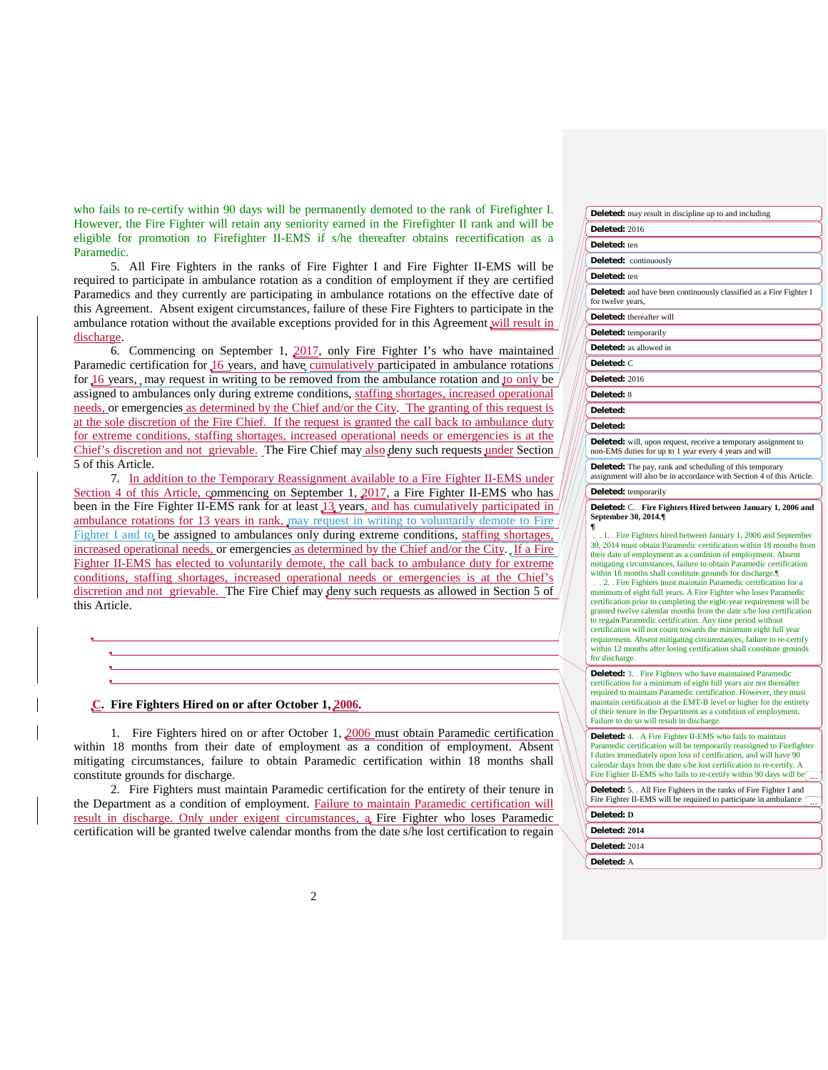who fails to re-certify within 90 days will be permanently demoted to the rank of Firefighter I. However, the Fire Fighter will retain any seniority earned in the Firefighter II rank and will be eligible for promotion to Firefighter II-EMS if s/he thereafter obtains recertification as a Paramedic.

5. All Fire Fighters in the ranks of Fire Fighter I and Fire Fighter II-EMS will be required to participate in ambulance rotation as a condition of employment if they are certified Paramedics and they currently are participating in ambulance rotations on the effective date of this Agreement. Absent exigent circumstances, failure of these Fire Fighters to participate in the ambulance rotation without the available exceptions provided for in this Agreement will result in  $/$ discharge.

6. Commencing on September 1, 2017, only Fire Fighter I's who have maintained Paramedic certification for 16 years, and have cumulatively participated in ambulance rotations for  $16$  years, may request in writing to be removed from the ambulance rotation and to only be assigned to ambulances only during extreme conditions, staffing shortages, increased operational needs, or emergencies as determined by the Chief and/or the City. The granting of this request is at the sole discretion of the Fire Chief. If the request is granted the call back to ambulance duty for extreme conditions, staffing shortages, increased operational needs or emergencies is at the Chief's discretion and not grievable. The Fire Chief may also deny such requests under Section 5 of this Article.

7. In addition to the Temporary Reassignment available to a Fire Fighter II-EMS under Section 4 of this Article, commencing on September 1, 2017, a Fire Fighter II-EMS who has been in the Fire Fighter II-EMS rank for at least 13 years, and has cumulatively participated in ambulance rotations for 13 years in rank, may request in writing to voluntarily demote to Fire Fighter I and to be assigned to ambulances only during extreme conditions, staffing shortages, increased operational needs, or emergencies as determined by the Chief and/or the City. If a Fire Fighter II-EMS has elected to voluntarily demote, the call back to ambulance duty for extreme conditions, staffing shortages, increased operational needs or emergencies is at the Chief's discretion and not grievable. The Fire Chief may deny such requests as allowed in Section 5 of / this Article.

### **C. Fire Fighters Hired on or after October 1, 2006.**

1. Fire Fighters hired on or after October 1, 2006 must obtain Paramedic certification within 18 months from their date of employment as a condition of employment. Absent mitigating circumstances, failure to obtain Paramedic certification within 18 months shall constitute grounds for discharge.

2. Fire Fighters must maintain Paramedic certification for the entirety of their tenure in the Department as a condition of employment. Failure to maintain Paramedic certification will result in discharge. Only under exigent circumstances, a Fire Fighter who loses Paramedic certification will be granted twelve calendar months from the date s/he lost certification to regain

| <b>Deleted:</b> may result in discipline up to and including                                                                                                                                                                                                                                                                                                                                                                                                                                                                                                                           |  |  |
|----------------------------------------------------------------------------------------------------------------------------------------------------------------------------------------------------------------------------------------------------------------------------------------------------------------------------------------------------------------------------------------------------------------------------------------------------------------------------------------------------------------------------------------------------------------------------------------|--|--|
| <b>Deleted: 2016</b>                                                                                                                                                                                                                                                                                                                                                                                                                                                                                                                                                                   |  |  |
| Deleted: ten                                                                                                                                                                                                                                                                                                                                                                                                                                                                                                                                                                           |  |  |
| Deleted: continuously                                                                                                                                                                                                                                                                                                                                                                                                                                                                                                                                                                  |  |  |
| Deleted: ten                                                                                                                                                                                                                                                                                                                                                                                                                                                                                                                                                                           |  |  |
| <b>Deleted:</b> and have been continuously classified as a Fire Fighter I<br>for twelve years,                                                                                                                                                                                                                                                                                                                                                                                                                                                                                         |  |  |
| <b>Deleted:</b> thereafter will                                                                                                                                                                                                                                                                                                                                                                                                                                                                                                                                                        |  |  |
| <b>Deleted:</b> temporarily                                                                                                                                                                                                                                                                                                                                                                                                                                                                                                                                                            |  |  |
| <b>Deleted:</b> as allowed in                                                                                                                                                                                                                                                                                                                                                                                                                                                                                                                                                          |  |  |
| Deleted: C                                                                                                                                                                                                                                                                                                                                                                                                                                                                                                                                                                             |  |  |
| Deleted: 2016                                                                                                                                                                                                                                                                                                                                                                                                                                                                                                                                                                          |  |  |
| Deleted: 8                                                                                                                                                                                                                                                                                                                                                                                                                                                                                                                                                                             |  |  |
| Deleted:                                                                                                                                                                                                                                                                                                                                                                                                                                                                                                                                                                               |  |  |
| Deleted:                                                                                                                                                                                                                                                                                                                                                                                                                                                                                                                                                                               |  |  |
| <b>Deleted:</b> will, upon request, receive a temporary assignment to<br>non-EMS duties for up to 1 year every 4 years and will                                                                                                                                                                                                                                                                                                                                                                                                                                                        |  |  |
| <b>Deleted:</b> The pay, rank and scheduling of this temporary<br>assignment will also be in accordance with Section 4 of this Article.                                                                                                                                                                                                                                                                                                                                                                                                                                                |  |  |
| <b>Deleted:</b> temporarily                                                                                                                                                                                                                                                                                                                                                                                                                                                                                                                                                            |  |  |
| Deleted: C. Fire Fighters Hired between January 1, 2006 and<br>September 30, 2014.¶<br>ſ                                                                                                                                                                                                                                                                                                                                                                                                                                                                                               |  |  |
| . 1. Fire Fighters hired between January 1, 2006 and September<br>30, 2014 must obtain Paramedic certification within 18 months from<br>their date of employment as a condition of employment. Absent<br>mitigating circumstances, failure to obtain Paramedic certification<br>within 18 months shall constitute grounds for discharge.                                                                                                                                                                                                                                               |  |  |
| . . 2. Fire Fighters must maintain Paramedic certification for a<br>minimum of eight full years. A Fire Fighter who loses Paramedic<br>certification prior to completing the eight-year requirement will be<br>granted twelve calendar months from the date s/he lost certification<br>to regain Paramedic certification. Any time period without<br>certification will not count towards the minimum eight full year<br>requirement. Absent mitigating circumstances, failure to re-certify<br>within 12 months after losing certification shall constitute grounds<br>for discharge. |  |  |
| <b>Deleted:</b> 3. Fire Fighters who have maintained Paramedic<br>certification for a minimum of eight full years are not thereafter<br>required to maintain Paramedic certification. However, they must<br>maintain certification at the EMT-B level or higher for the entirety<br>of their tenure in the Department as a condition of employment.<br>Failure to do so will result in discharge.                                                                                                                                                                                      |  |  |
| <b>Deleted:</b> 4. . A Fire Fighter II-EMS who fails to maintain                                                                                                                                                                                                                                                                                                                                                                                                                                                                                                                       |  |  |

aramedic certification will be temporarily reassigned to Firefighter I duties immediately upon loss of certification, and will have 90 calendar days from the date s/he lost certification to re-certify. A Fire Fighter II-EMS who fails to re-certify within 90 days will be

**Deleted:** 5. All Fire Fighters in the ranks of Fire Fighter I and Fire Fighter II-EMS will be required to participate in ambulance ( **Deleted: D**

| Deleted: 2014 |  |
|---------------|--|

**Deleted:** 2014

**Deleted:** A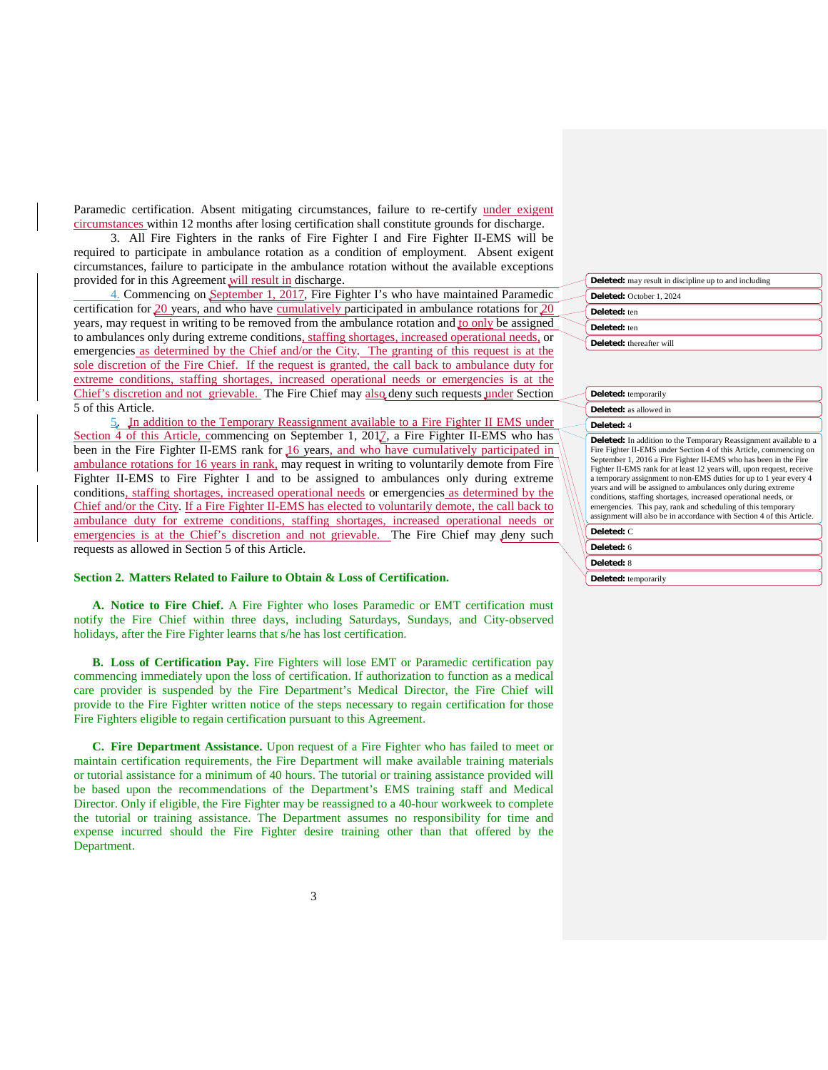Paramedic certification. Absent mitigating circumstances, failure to re-certify under exigent circumstances within 12 months after losing certification shall constitute grounds for discharge.

3. All Fire Fighters in the ranks of Fire Fighter I and Fire Fighter II-EMS will be required to participate in ambulance rotation as a condition of employment. Absent exigent circumstances, failure to participate in the ambulance rotation without the available exceptions provided for in this Agreement will result in discharge.

4. Commencing on September 1, 2017, Fire Fighter I's who have maintained Paramedic certification for  $20$  years, and who have cumulatively participated in ambulance rotations for  $20$ years, may request in writing to be removed from the ambulance rotation and to only be assigned to ambulances only during extreme conditions, staffing shortages, increased operational needs, or emergencies as determined by the Chief and/or the City. The granting of this request is at the sole discretion of the Fire Chief. If the request is granted, the call back to ambulance duty for extreme conditions, staffing shortages, increased operational needs or emergencies is at the Chief's discretion and not grievable. The Fire Chief may also deny such requests under Section 5 of this Article.

5. In addition to the Temporary Reassignment available to a Fire Fighter II EMS under Section 4 of this Article, commencing on September 1, 2017, a Fire Fighter II-EMS who has been in the Fire Fighter II-EMS rank for 16 years, and who have cumulatively participated in ambulance rotations for 16 years in rank, may request in writing to voluntarily demote from Fire Fighter II-EMS to Fire Fighter I and to be assigned to ambulances only during extreme conditions, staffing shortages, increased operational needs or emergencies as determined by the Chief and/or the City. If a Fire Fighter II-EMS has elected to voluntarily demote, the call back to ambulance duty for extreme conditions, staffing shortages, increased operational needs or emergencies is at the Chief's discretion and not grievable. The Fire Chief may deny such requests as allowed in Section 5 of this Article.

# **Section 2. Matters Related to Failure to Obtain & Loss of Certification.**

**A. Notice to Fire Chief.** A Fire Fighter who loses Paramedic or EMT certification must notify the Fire Chief within three days, including Saturdays, Sundays, and City-observed holidays, after the Fire Fighter learns that s/he has lost certification.

**B. Loss of Certification Pay.** Fire Fighters will lose EMT or Paramedic certification pay commencing immediately upon the loss of certification. If authorization to function as a medical care provider is suspended by the Fire Department's Medical Director, the Fire Chief will provide to the Fire Fighter written notice of the steps necessary to regain certification for those Fire Fighters eligible to regain certification pursuant to this Agreement.

**C. Fire Department Assistance.** Upon request of a Fire Fighter who has failed to meet or maintain certification requirements, the Fire Department will make available training materials or tutorial assistance for a minimum of 40 hours. The tutorial or training assistance provided will be based upon the recommendations of the Department's EMS training staff and Medical Director. Only if eligible, the Fire Fighter may be reassigned to a 40-hour workweek to complete the tutorial or training assistance. The Department assumes no responsibility for time and expense incurred should the Fire Fighter desire training other than that offered by the Department.

| <b>Deleted:</b> may result in discipline up to and including |
|--------------------------------------------------------------|
| Deleted: October 1, 2024                                     |
| Deleted: ten                                                 |
| Deleted: ten                                                 |
| Deleted: thereafter will                                     |

|            | Deleted: temporarily<br><b>Deleted:</b> as allowed in                                                                                                                                                                                                                                                                                                                                                                                                                                                                                                                                                                                        |  |  |
|------------|----------------------------------------------------------------------------------------------------------------------------------------------------------------------------------------------------------------------------------------------------------------------------------------------------------------------------------------------------------------------------------------------------------------------------------------------------------------------------------------------------------------------------------------------------------------------------------------------------------------------------------------------|--|--|
|            |                                                                                                                                                                                                                                                                                                                                                                                                                                                                                                                                                                                                                                              |  |  |
| Deleted: 4 |                                                                                                                                                                                                                                                                                                                                                                                                                                                                                                                                                                                                                                              |  |  |
|            | <b>Deleted:</b> In addition to the Temporary Reassignment available to a<br>Fire Fighter II-EMS under Section 4 of this Article, commencing on<br>September 1, 2016 a Fire Fighter II-EMS who has been in the Fire<br>Fighter II-EMS rank for at least 12 years will, upon request, receive<br>a temporary assignment to non-EMS duties for up to 1 year every 4<br>years and will be assigned to ambulances only during extreme<br>conditions, staffing shortages, increased operational needs, or<br>emergencies. This pay, rank and scheduling of this temporary<br>assignment will also be in accordance with Section 4 of this Article. |  |  |
|            | Deleted: C                                                                                                                                                                                                                                                                                                                                                                                                                                                                                                                                                                                                                                   |  |  |
|            | Deleted: 6                                                                                                                                                                                                                                                                                                                                                                                                                                                                                                                                                                                                                                   |  |  |
|            | Deleted: 8                                                                                                                                                                                                                                                                                                                                                                                                                                                                                                                                                                                                                                   |  |  |

**Deleted:** temporarily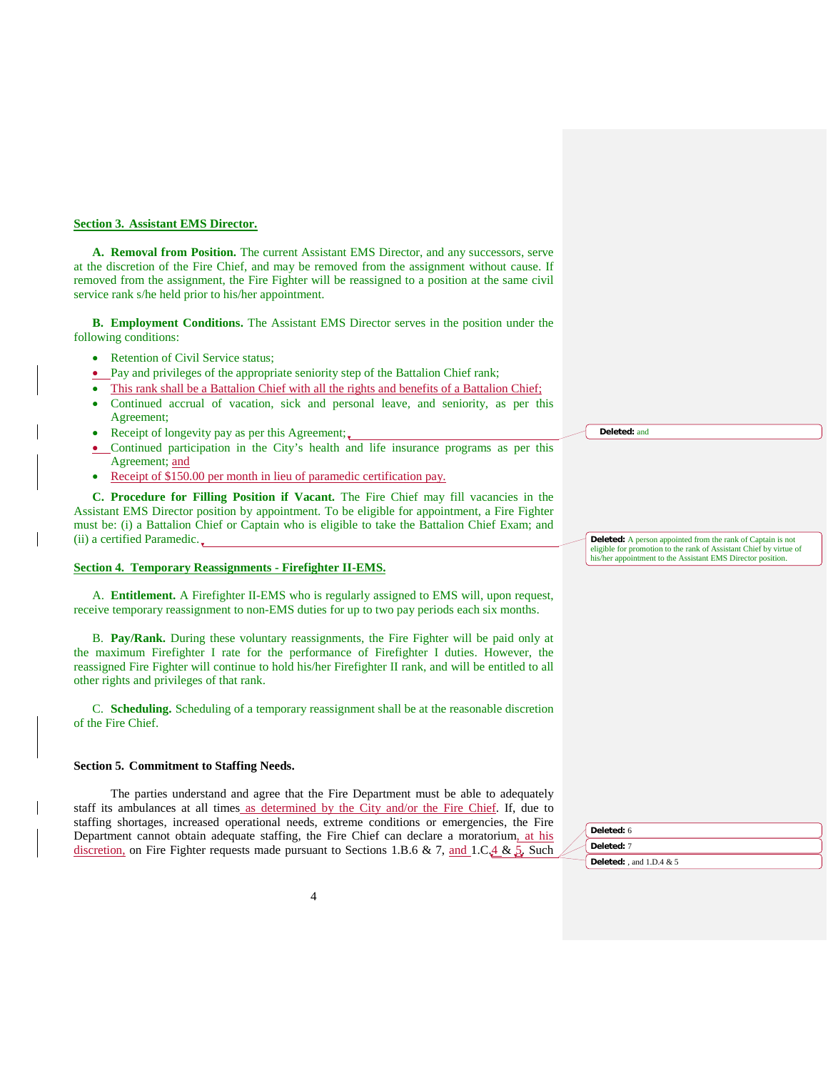### **Section 3. Assistant EMS Director.**

**A. Removal from Position.** The current Assistant EMS Director, and any successors, serve at the discretion of the Fire Chief, and may be removed from the assignment without cause. If removed from the assignment, the Fire Fighter will be reassigned to a position at the same civil service rank s/he held prior to his/her appointment.

**B. Employment Conditions.** The Assistant EMS Director serves in the position under the following conditions:

- Retention of Civil Service status;
- Pay and privileges of the appropriate seniority step of the Battalion Chief rank;
- This rank shall be a Battalion Chief with all the rights and benefits of a Battalion Chief;
- Continued accrual of vacation, sick and personal leave, and seniority, as per this Agreement;
- Receipt of longevity pay as per this Agreement;
- Continued participation in the City's health and life insurance programs as per this Agreement; and
- Receipt of \$150.00 per month in lieu of paramedic certification pay.

**C. Procedure for Filling Position if Vacant.** The Fire Chief may fill vacancies in the Assistant EMS Director position by appointment. To be eligible for appointment, a Fire Fighter must be: (i) a Battalion Chief or Captain who is eligible to take the Battalion Chief Exam; and (ii) a certified Paramedic.

## **Section 4. Temporary Reassignments - Firefighter II-EMS.**

A. **Entitlement.** A Firefighter II-EMS who is regularly assigned to EMS will, upon request, receive temporary reassignment to non-EMS duties for up to two pay periods each six months.

B. **Pay/Rank.** During these voluntary reassignments, the Fire Fighter will be paid only at the maximum Firefighter I rate for the performance of Firefighter I duties. However, the reassigned Fire Fighter will continue to hold his/her Firefighter II rank, and will be entitled to all other rights and privileges of that rank.

C. **Scheduling.** Scheduling of a temporary reassignment shall be at the reasonable discretion of the Fire Chief.

### **Section 5. Commitment to Staffing Needs.**

The parties understand and agree that the Fire Department must be able to adequately staff its ambulances at all times as determined by the City and/or the Fire Chief. If, due to staffing shortages, increased operational needs, extreme conditions or emergencies, the Fire Department cannot obtain adequate staffing, the Fire Chief can declare a moratorium, at his discretion, on Fire Fighter requests made pursuant to Sections 1.B.6 & 7, and 1.C. $4 \& 5$ . Such **Deleted:** and

**Deleted:** A person appointed from the rank of Captain is not eligible for promotion to the rank of Assistant Chief by virtue of his/her appointment to the Assistant EMS Director position.

| Deleted: 6                        |
|-----------------------------------|
| Deleted: 7                        |
| <b>Deleted:</b> , and $1.D.4 & 5$ |